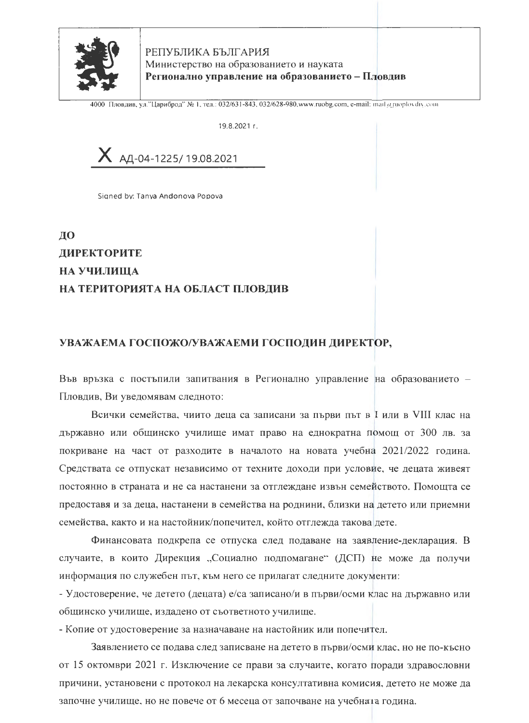

РЕПУБЛИКА БЪЛГАРИЯ Министерство на образованието и науката Регионално управление на образованието - Пловдив

4000 Пловдив, ул."Цариброд" № 1, тел.: 032/631-843, 032/628-980, www.ruobg.com, e-mail: mail arruoplovdiv.com

19.8.2021 r.

 $X$  A<sub>4</sub>-04-1225/19.08.2021

Signed by: Tanya Andonova Popova

## ДО **ЛИРЕКТОРИТЕ** НА УЧИЛИЩА НА ТЕРИТОРИЯТА НА ОБЛАСТ ПЛОВДИВ

## УВАЖАЕМА ГОСПОЖО/УВАЖАЕМИ ГОСПОДИН ДИРЕКТОР,

Във връзка с постъпили запитвания в Регионално управление на образованието -Пловдив, Ви уведомявам следното:

Всички семейства, чиито деца са записани за първи път в I или в VIII клас на държавно или общинско училище имат право на еднократна помощ от 300 лв. за покриване на част от разходите в началото на новата учебна 2021/2022 година. Средствата се отпускат независимо от техните доходи при условие, че децата живеят постоянно в страната и не са настанени за отглеждане извън семейството. Помощта се предоставя и за деца, настанени в семейства на роднини, близки на детето или приемни семейства, както и на настойник/попечител, който отглежда такова дете.

Финансовата подкрепа се отпуска след подаване на заявление-декларация. В случаите, в които Дирекция "Социално подпомагане" (ДСП) не може да получи информация по служебен път, към него се прилагат следните документи:

- Удостоверение, че детето (децата) е/са записано/и в първи/осми клас на държавно или общинско училище, издадено от съответното училище.

- Копие от удостоверение за назначаване на настойник или попечител.

Заявлението се подава след записване на детето в първи/осми клас, но не по-късно от 15 октомври 2021 г. Изключение се прави за случаите, когато поради здравословни причини, установени с протокол на лекарска консултативна комисия, детето не може да започне училище, но не повече от 6 месеца от започване на учебната година.